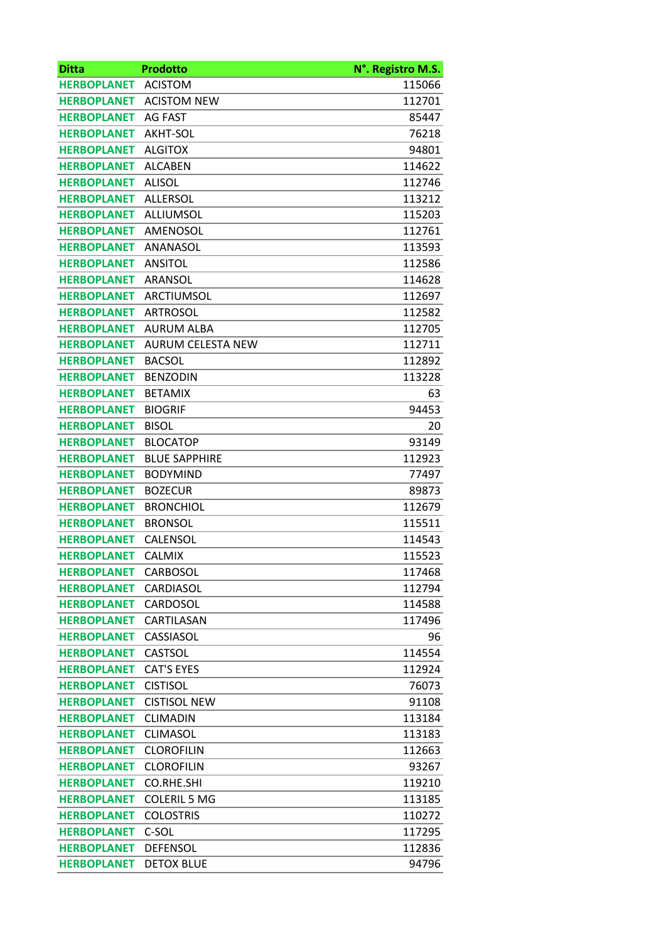| <b>Ditta</b>       | <b>Prodotto</b>          | N°. Registro M.S. |
|--------------------|--------------------------|-------------------|
| <b>HERBOPLANET</b> | <b>ACISTOM</b>           | 115066            |
| <b>HERBOPLANET</b> | <b>ACISTOM NEW</b>       | 112701            |
| <b>HERBOPLANET</b> | <b>AG FAST</b>           | 85447             |
| <b>HERBOPLANET</b> | AKHT-SOL                 | 76218             |
| <b>HERBOPLANET</b> | <b>ALGITOX</b>           | 94801             |
| <b>HERBOPLANET</b> | <b>ALCABEN</b>           | 114622            |
| <b>HERBOPLANET</b> | <b>ALISOL</b>            | 112746            |
| <b>HERBOPLANET</b> | <b>ALLERSOL</b>          | 113212            |
| <b>HERBOPLANET</b> | ALLIUMSOL                | 115203            |
| <b>HERBOPLANET</b> | AMENOSOL                 | 112761            |
| <b>HERBOPLANET</b> | ANANASOL                 | 113593            |
| <b>HERBOPLANET</b> | <b>ANSITOL</b>           | 112586            |
| <b>HERBOPLANET</b> | <b>ARANSOL</b>           | 114628            |
| <b>HERBOPLANET</b> | <b>ARCTIUMSOL</b>        | 112697            |
| <b>HERBOPLANET</b> | <b>ARTROSOL</b>          | 112582            |
| <b>HERBOPLANET</b> | <b>AURUM ALBA</b>        | 112705            |
| <b>HERBOPLANET</b> | <b>AURUM CELESTA NEW</b> | 112711            |
| <b>HERBOPLANET</b> | <b>BACSOL</b>            | 112892            |
| <b>HERBOPLANET</b> | <b>BENZODIN</b>          | 113228            |
| <b>HERBOPLANET</b> | <b>BETAMIX</b>           | 63                |
| <b>HERBOPLANET</b> | <b>BIOGRIF</b>           | 94453             |
| <b>HERBOPLANET</b> | <b>BISOL</b>             | 20                |
| <b>HERBOPLANET</b> | <b>BLOCATOP</b>          | 93149             |
| <b>HERBOPLANET</b> | <b>BLUE SAPPHIRE</b>     | 112923            |
| <b>HERBOPLANET</b> | <b>BODYMIND</b>          | 77497             |
| <b>HERBOPLANET</b> | <b>BOZECUR</b>           | 89873             |
| <b>HERBOPLANET</b> | <b>BRONCHIOL</b>         | 112679            |
| <b>HERBOPLANET</b> | <b>BRONSOL</b>           | 115511            |
| <b>HERBOPLANET</b> | CALENSOL                 | 114543            |
| <b>HERBOPLANET</b> | <b>CALMIX</b>            | 115523            |
| <b>HERBOPLANET</b> | CARBOSOL                 | 117468            |
| <b>HERBOPLANET</b> | CARDIASOL                | 112794            |
| <b>HERBOPLANET</b> | CARDOSOL                 | 114588            |
| <b>HERBOPLANET</b> | CARTILASAN               | 117496            |
| <b>HERBOPLANET</b> | CASSIASOL                | 96                |
| <b>HERBOPLANET</b> | <b>CASTSOL</b>           | 114554            |
| <b>HERBOPLANET</b> | <b>CAT'S EYES</b>        | 112924            |
| <b>HERBOPLANET</b> | <b>CISTISOL</b>          | 76073             |
| <b>HERBOPLANET</b> | <b>CISTISOL NEW</b>      | 91108             |
| <b>HERBOPLANET</b> | <b>CLIMADIN</b>          | 113184            |
| <b>HERBOPLANET</b> | <b>CLIMASOL</b>          | 113183            |
| <b>HERBOPLANET</b> | <b>CLOROFILIN</b>        | 112663            |
| <b>HERBOPLANET</b> | <b>CLOROFILIN</b>        | 93267             |
| <b>HERBOPLANET</b> | CO.RHE.SHI               | 119210            |
| <b>HERBOPLANET</b> | <b>COLERIL 5 MG</b>      | 113185            |
| <b>HERBOPLANET</b> | <b>COLOSTRIS</b>         | 110272            |
| <b>HERBOPLANET</b> | C-SOL                    | 117295            |
| <b>HERBOPLANET</b> | <b>DEFENSOL</b>          | 112836            |
| <b>HERBOPLANET</b> | <b>DETOX BLUE</b>        | 94796             |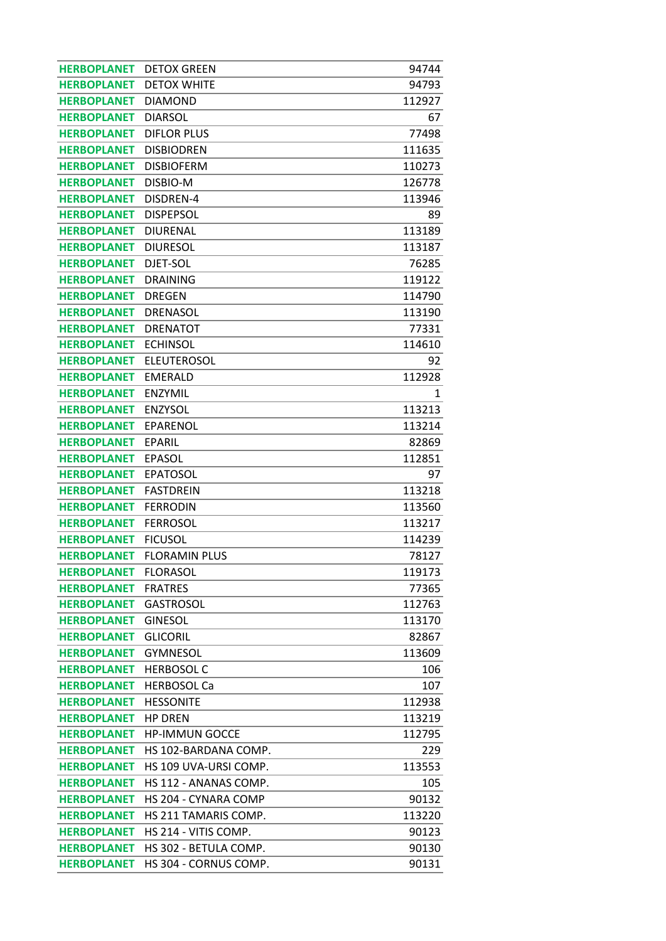| <b>HERBOPLANET</b> | <b>DETOX GREEN</b>          | 94744  |
|--------------------|-----------------------------|--------|
| <b>HERBOPLANET</b> | <b>DETOX WHITE</b>          | 94793  |
| <b>HERBOPLANET</b> | <b>DIAMOND</b>              | 112927 |
| <b>HERBOPLANET</b> | <b>DIARSOL</b>              | 67     |
| <b>HERBOPLANET</b> | <b>DIFLOR PLUS</b>          | 77498  |
| <b>HERBOPLANET</b> | <b>DISBIODREN</b>           | 111635 |
| <b>HERBOPLANET</b> | <b>DISBIOFERM</b>           | 110273 |
| <b>HERBOPLANET</b> | DISBIO-M                    | 126778 |
| <b>HERBOPLANET</b> | DISDREN-4                   | 113946 |
| <b>HERBOPLANET</b> | <b>DISPEPSOL</b>            | 89     |
| <b>HERBOPLANET</b> | <b>DIURENAL</b>             | 113189 |
| <b>HERBOPLANET</b> | <b>DIURESOL</b>             | 113187 |
| <b>HERBOPLANET</b> | DJET-SOL                    | 76285  |
| <b>HERBOPLANET</b> | <b>DRAINING</b>             | 119122 |
| <b>HERBOPLANET</b> | <b>DREGEN</b>               | 114790 |
| <b>HERBOPLANET</b> | <b>DRENASOL</b>             | 113190 |
| <b>HERBOPLANET</b> | <b>DRENATOT</b>             | 77331  |
| <b>HERBOPLANET</b> | <b>ECHINSOL</b>             | 114610 |
| <b>HERBOPLANET</b> | <b>ELEUTEROSOL</b>          | 92     |
| <b>HERBOPLANET</b> | <b>EMERALD</b>              | 112928 |
| <b>HERBOPLANET</b> | <b>ENZYMIL</b>              | 1      |
| <b>HERBOPLANET</b> | <b>ENZYSOL</b>              | 113213 |
| <b>HERBOPLANET</b> | <b>EPARENOL</b>             | 113214 |
| <b>HERBOPLANET</b> | EPARIL                      | 82869  |
| <b>HERBOPLANET</b> | <b>EPASOL</b>               | 112851 |
|                    |                             |        |
| <b>HERBOPLANET</b> | <b>EPATOSOL</b>             | 97     |
| <b>HERBOPLANET</b> | <b>FASTDREIN</b>            | 113218 |
| <b>HERBOPLANET</b> | <b>FERRODIN</b>             | 113560 |
| <b>HERBOPLANET</b> | <b>FERROSOL</b>             | 113217 |
| <b>HERBOPLANET</b> | <b>FICUSOL</b>              | 114239 |
| <b>HERBOPLANET</b> | <b>FLORAMIN PLUS</b>        | 78127  |
| <b>HERBOPLANET</b> | <b>FLORASOL</b>             | 119173 |
| <b>HERBOPLANET</b> | <b>FRATRES</b>              | 77365  |
| <b>HERBOPLANET</b> | <b>GASTROSOL</b>            | 112763 |
| <b>HERBOPLANET</b> | <b>GINESOL</b>              | 113170 |
| <b>HERBOPLANET</b> | <b>GLICORIL</b>             | 82867  |
| <b>HERBOPLANET</b> | <b>GYMNESOL</b>             | 113609 |
| <b>HERBOPLANET</b> | <b>HERBOSOL C</b>           | 106    |
| <b>HERBOPLANET</b> | <b>HERBOSOL Ca</b>          | 107    |
| <b>HERBOPLANET</b> | <b>HESSONITE</b>            | 112938 |
| <b>HERBOPLANET</b> | <b>HP DREN</b>              | 113219 |
| <b>HERBOPLANET</b> | <b>HP-IMMUN GOCCE</b>       | 112795 |
| <b>HERBOPLANET</b> | HS 102-BARDANA COMP.        | 229    |
| <b>HERBOPLANET</b> | HS 109 UVA-URSI COMP.       | 113553 |
| <b>HERBOPLANET</b> | HS 112 - ANANAS COMP.       | 105    |
| <b>HERBOPLANET</b> | <b>HS 204 - CYNARA COMP</b> | 90132  |
| <b>HERBOPLANET</b> | HS 211 TAMARIS COMP.        | 113220 |
| <b>HERBOPLANET</b> | HS 214 - VITIS COMP.        | 90123  |
| <b>HERBOPLANET</b> | HS 302 - BETULA COMP.       | 90130  |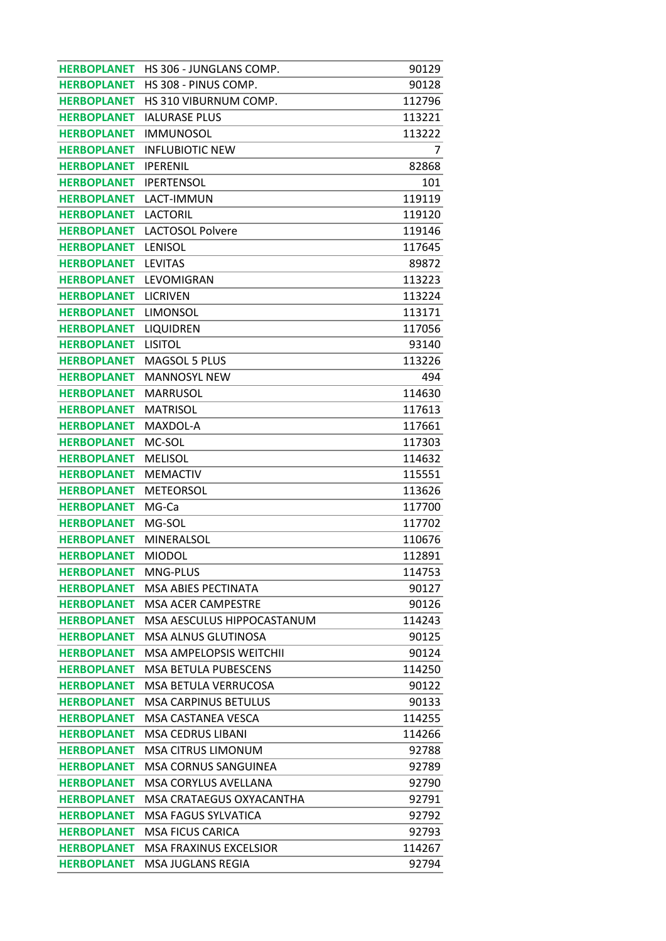| <b>HERBOPLANET</b> | HS 306 - JUNGLANS COMP.        | 90129  |
|--------------------|--------------------------------|--------|
| <b>HERBOPLANET</b> | HS 308 - PINUS COMP.           | 90128  |
| <b>HERBOPLANET</b> | HS 310 VIBURNUM COMP.          | 112796 |
| <b>HERBOPLANET</b> | <b>IALURASE PLUS</b>           | 113221 |
| <b>HERBOPLANET</b> | <b>IMMUNOSOL</b>               | 113222 |
| <b>HERBOPLANET</b> | <b>INFLUBIOTIC NEW</b>         | 7      |
| <b>HERBOPLANET</b> | <b>IPERENIL</b>                | 82868  |
| <b>HERBOPLANET</b> | <b>IPERTENSOL</b>              | 101    |
| <b>HERBOPLANET</b> | LACT-IMMUN                     | 119119 |
| <b>HERBOPLANET</b> | <b>LACTORIL</b>                | 119120 |
| <b>HERBOPLANET</b> | <b>LACTOSOL Polvere</b>        | 119146 |
| <b>HERBOPLANET</b> | LENISOL                        | 117645 |
| <b>HERBOPLANET</b> | <b>LEVITAS</b>                 | 89872  |
| <b>HERBOPLANET</b> | LEVOMIGRAN                     | 113223 |
| <b>HERBOPLANET</b> | <b>LICRIVEN</b>                | 113224 |
| <b>HERBOPLANET</b> | <b>LIMONSOL</b>                | 113171 |
| <b>HERBOPLANET</b> | LIQUIDREN                      | 117056 |
| <b>HERBOPLANET</b> | <b>LISITOL</b>                 | 93140  |
| <b>HERBOPLANET</b> | MAGSOL 5 PLUS                  | 113226 |
| <b>HERBOPLANET</b> | <b>MANNOSYL NEW</b>            | 494    |
| <b>HERBOPLANET</b> | <b>MARRUSOL</b>                | 114630 |
| <b>HERBOPLANET</b> | <b>MATRISOL</b>                | 117613 |
| <b>HERBOPLANET</b> | MAXDOL-A                       | 117661 |
| <b>HERBOPLANET</b> | MC-SOL                         | 117303 |
| <b>HERBOPLANET</b> | <b>MELISOL</b>                 | 114632 |
| <b>HERBOPLANET</b> | <b>MEMACTIV</b>                | 115551 |
| <b>HERBOPLANET</b> | <b>METEORSOL</b>               | 113626 |
| <b>HERBOPLANET</b> | MG-Ca                          | 117700 |
| <b>HERBOPLANET</b> | MG-SOL                         | 117702 |
| <b>HERBOPLANET</b> | MINERALSOL                     | 110676 |
| <b>HERBOPLANET</b> | <b>MIODOL</b>                  | 112891 |
| <b>HERBOPLANET</b> | MNG-PLUS                       | 114753 |
| <b>HERBOPLANET</b> | MSA ABIES PECTINATA            | 90127  |
| <b>HERBOPLANET</b> | <b>MSA ACER CAMPESTRE</b>      | 90126  |
| <b>HERBOPLANET</b> | MSA AESCULUS HIPPOCASTANUM     | 114243 |
| <b>HERBOPLANET</b> | <b>MSA ALNUS GLUTINOSA</b>     | 90125  |
| <b>HERBOPLANET</b> | <b>MSA AMPELOPSIS WEITCHII</b> | 90124  |
| <b>HERBOPLANET</b> | <b>MSA BETULA PUBESCENS</b>    | 114250 |
| <b>HERBOPLANET</b> | <b>MSA BETULA VERRUCOSA</b>    | 90122  |
| <b>HERBOPLANET</b> | <b>MSA CARPINUS BETULUS</b>    | 90133  |
| <b>HERBOPLANET</b> | <b>MSA CASTANEA VESCA</b>      | 114255 |
| <b>HERBOPLANET</b> | <b>MSA CEDRUS LIBANI</b>       | 114266 |
| <b>HERBOPLANET</b> | <b>MSA CITRUS LIMONUM</b>      | 92788  |
| <b>HERBOPLANET</b> | <b>MSA CORNUS SANGUINEA</b>    | 92789  |
| <b>HERBOPLANET</b> | MSA CORYLUS AVELLANA           | 92790  |
| <b>HERBOPLANET</b> | MSA CRATAEGUS OXYACANTHA       | 92791  |
| <b>HERBOPLANET</b> | <b>MSA FAGUS SYLVATICA</b>     | 92792  |
| <b>HERBOPLANET</b> | <b>MSA FICUS CARICA</b>        | 92793  |
| <b>HERBOPLANET</b> | <b>MSA FRAXINUS EXCELSIOR</b>  | 114267 |
| <b>HERBOPLANET</b> | MSA JUGLANS REGIA              | 92794  |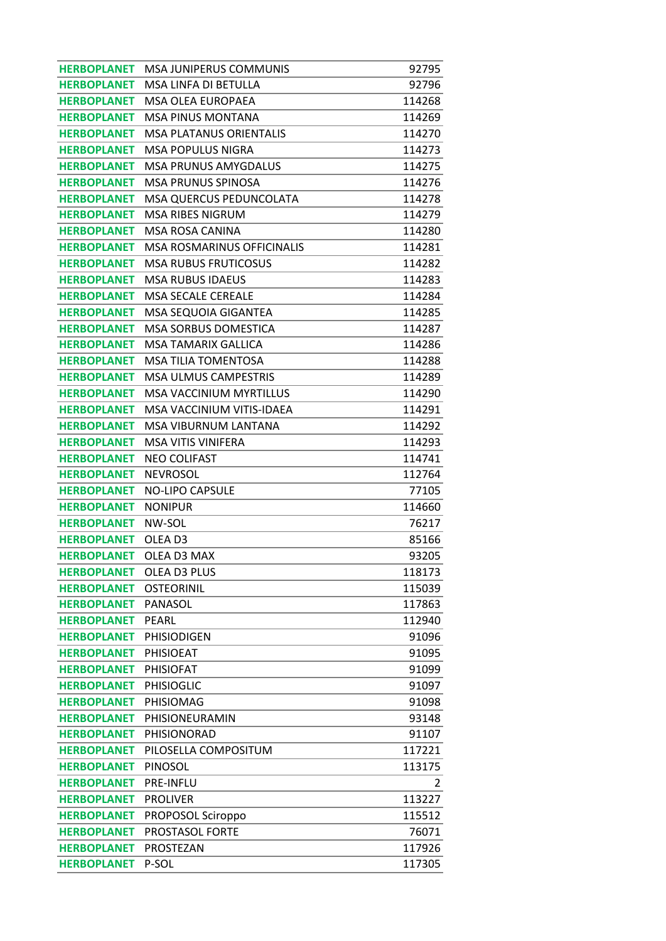| <b>HERBOPLANET</b> | MSA JUNIPERUS COMMUNIS            | 92795  |
|--------------------|-----------------------------------|--------|
| <b>HERBOPLANET</b> | MSA LINFA DI BETULLA              | 92796  |
| <b>HERBOPLANET</b> | <b>MSA OLEA EUROPAEA</b>          | 114268 |
| <b>HERBOPLANET</b> | <b>MSA PINUS MONTANA</b>          | 114269 |
| <b>HERBOPLANET</b> | <b>MSA PLATANUS ORIENTALIS</b>    | 114270 |
| <b>HERBOPLANET</b> | <b>MSA POPULUS NIGRA</b>          | 114273 |
| <b>HERBOPLANET</b> | <b>MSA PRUNUS AMYGDALUS</b>       | 114275 |
| <b>HERBOPLANET</b> | <b>MSA PRUNUS SPINOSA</b>         | 114276 |
| <b>HERBOPLANET</b> | MSA QUERCUS PEDUNCOLATA           | 114278 |
| <b>HERBOPLANET</b> | <b>MSA RIBES NIGRUM</b>           | 114279 |
| <b>HERBOPLANET</b> | MSA ROSA CANINA                   | 114280 |
| <b>HERBOPLANET</b> | <b>MSA ROSMARINUS OFFICINALIS</b> | 114281 |
| <b>HERBOPLANET</b> | <b>MSA RUBUS FRUTICOSUS</b>       | 114282 |
| <b>HERBOPLANET</b> | <b>MSA RUBUS IDAEUS</b>           | 114283 |
| <b>HERBOPLANET</b> | <b>MSA SECALE CEREALE</b>         | 114284 |
| <b>HERBOPLANET</b> | MSA SEQUOIA GIGANTEA              | 114285 |
| <b>HERBOPLANET</b> | MSA SORBUS DOMESTICA              | 114287 |
| <b>HERBOPLANET</b> | <b>MSA TAMARIX GALLICA</b>        | 114286 |
| <b>HERBOPLANET</b> | <b>MSA TILIA TOMENTOSA</b>        | 114288 |
| <b>HERBOPLANET</b> | <b>MSA ULMUS CAMPESTRIS</b>       | 114289 |
| <b>HERBOPLANET</b> | <b>MSA VACCINIUM MYRTILLUS</b>    | 114290 |
| <b>HERBOPLANET</b> | MSA VACCINIUM VITIS-IDAEA         | 114291 |
| <b>HERBOPLANET</b> | MSA VIBURNUM LANTANA              | 114292 |
| <b>HERBOPLANET</b> | MSA VITIS VINIFERA                | 114293 |
| <b>HERBOPLANET</b> | <b>NEO COLIFAST</b>               | 114741 |
| <b>HERBOPLANET</b> | <b>NEVROSOL</b>                   | 112764 |
| <b>HERBOPLANET</b> | <b>NO-LIPO CAPSULE</b>            | 77105  |
| <b>HERBOPLANET</b> | <b>NONIPUR</b>                    | 114660 |
| <b>HERBOPLANET</b> | NW-SOL                            | 76217  |
| <b>HERBOPLANET</b> | OLEA D3                           | 85166  |
| <b>HERBOPLANET</b> | OLEA D3 MAX                       | 93205  |
| <b>HERBOPLANET</b> | OLEA D3 PLUS                      | 118173 |
| <b>HERBOPLANET</b> | <b>OSTEORINIL</b>                 | 115039 |
| <b>HERBOPLANET</b> | PANASOL                           | 117863 |
| <b>HERBOPLANET</b> | <b>PEARL</b>                      | 112940 |
| <b>HERBOPLANET</b> | <b>PHISIODIGEN</b>                | 91096  |
| <b>HERBOPLANET</b> | <b>PHISIOEAT</b>                  | 91095  |
| <b>HERBOPLANET</b> | <b>PHISIOFAT</b>                  | 91099  |
| <b>HERBOPLANET</b> | <b>PHISIOGLIC</b>                 | 91097  |
| <b>HERBOPLANET</b> | PHISIOMAG                         | 91098  |
| <b>HERBOPLANET</b> | PHISIONEURAMIN                    | 93148  |
| <b>HERBOPLANET</b> | PHISIONORAD                       | 91107  |
| <b>HERBOPLANET</b> | PILOSELLA COMPOSITUM              | 117221 |
| <b>HERBOPLANET</b> | PINOSOL                           | 113175 |
| <b>HERBOPLANET</b> | PRE-INFLU                         | 2      |
| <b>HERBOPLANET</b> | <b>PROLIVER</b>                   | 113227 |
| <b>HERBOPLANET</b> | PROPOSOL Sciroppo                 | 115512 |
| <b>HERBOPLANET</b> | PROSTASOL FORTE                   | 76071  |
| <b>HERBOPLANET</b> | PROSTEZAN                         | 117926 |
| <b>HERBOPLANET</b> | P-SOL                             | 117305 |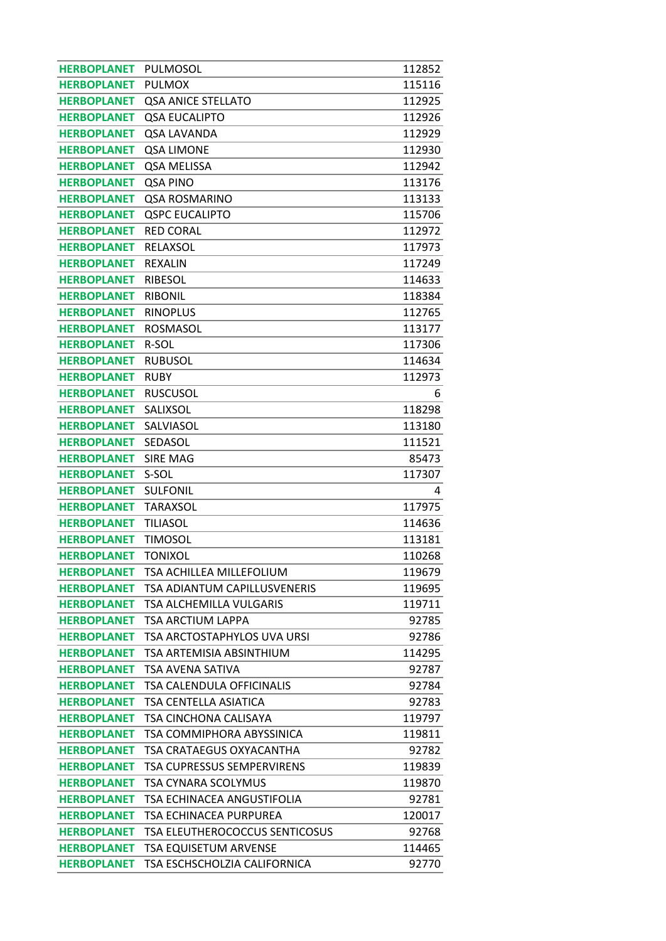| <b>HERBOPLANET</b> | PULMOSOL                              | 112852 |
|--------------------|---------------------------------------|--------|
| <b>HERBOPLANET</b> | <b>PULMOX</b>                         | 115116 |
| <b>HERBOPLANET</b> | <b>QSA ANICE STELLATO</b>             | 112925 |
| <b>HERBOPLANET</b> | <b>QSA EUCALIPTO</b>                  | 112926 |
| <b>HERBOPLANET</b> | QSA LAVANDA                           | 112929 |
| <b>HERBOPLANET</b> | <b>QSA LIMONE</b>                     | 112930 |
| <b>HERBOPLANET</b> | QSA MELISSA                           | 112942 |
| <b>HERBOPLANET</b> | QSA PINO                              | 113176 |
| <b>HERBOPLANET</b> | <b>QSA ROSMARINO</b>                  | 113133 |
| <b>HERBOPLANET</b> | <b>QSPC EUCALIPTO</b>                 | 115706 |
| <b>HERBOPLANET</b> | <b>RED CORAL</b>                      | 112972 |
| <b>HERBOPLANET</b> | RELAXSOL                              | 117973 |
| <b>HERBOPLANET</b> | <b>REXALIN</b>                        | 117249 |
| <b>HERBOPLANET</b> | <b>RIBESOL</b>                        | 114633 |
| <b>HERBOPLANET</b> | <b>RIBONIL</b>                        | 118384 |
| <b>HERBOPLANET</b> | <b>RINOPLUS</b>                       | 112765 |
| <b>HERBOPLANET</b> | <b>ROSMASOL</b>                       | 113177 |
| <b>HERBOPLANET</b> | R-SOL                                 | 117306 |
| <b>HERBOPLANET</b> | <b>RUBUSOL</b>                        | 114634 |
| <b>HERBOPLANET</b> | <b>RUBY</b>                           | 112973 |
| <b>HERBOPLANET</b> | <b>RUSCUSOL</b>                       | 6      |
| <b>HERBOPLANET</b> | SALIXSOL                              | 118298 |
| <b>HERBOPLANET</b> | SALVIASOL                             | 113180 |
| <b>HERBOPLANET</b> | SEDASOL                               | 111521 |
| <b>HERBOPLANET</b> | <b>SIRE MAG</b>                       | 85473  |
|                    |                                       |        |
| <b>HERBOPLANET</b> | S-SOL                                 | 117307 |
| <b>HERBOPLANET</b> | <b>SULFONIL</b>                       | 4      |
| <b>HERBOPLANET</b> | TARAXSOL                              | 117975 |
| <b>HERBOPLANET</b> | <b>TILIASOL</b>                       | 114636 |
| <b>HERBOPLANET</b> | <b>TIMOSOL</b>                        | 113181 |
| <b>HERBOPLANET</b> | <b>TONIXOL</b>                        | 110268 |
| <b>HERBOPLANET</b> | TSA ACHILLEA MILLEFOLIUM              | 119679 |
| <b>HERBOPLANET</b> | TSA ADIANTUM CAPILLUSVENERIS          | 119695 |
| <b>HERBOPLANET</b> | TSA ALCHEMILLA VULGARIS               | 119711 |
| <b>HERBOPLANET</b> | TSA ARCTIUM LAPPA                     | 92785  |
| <b>HERBOPLANET</b> | TSA ARCTOSTAPHYLOS UVA URSI           | 92786  |
| <b>HERBOPLANET</b> | TSA ARTEMISIA ABSINTHIUM              | 114295 |
| <b>HERBOPLANET</b> | TSA AVENA SATIVA                      | 92787  |
| <b>HERBOPLANET</b> | <b>TSA CALENDULA OFFICINALIS</b>      | 92784  |
| <b>HERBOPLANET</b> | <b>TSA CENTELLA ASIATICA</b>          | 92783  |
| <b>HERBOPLANET</b> | TSA CINCHONA CALISAYA                 | 119797 |
| <b>HERBOPLANET</b> | TSA COMMIPHORA ABYSSINICA             | 119811 |
| <b>HERBOPLANET</b> | TSA CRATAEGUS OXYACANTHA              | 92782  |
| <b>HERBOPLANET</b> | <b>TSA CUPRESSUS SEMPERVIRENS</b>     | 119839 |
| <b>HERBOPLANET</b> | TSA CYNARA SCOLYMUS                   | 119870 |
| <b>HERBOPLANET</b> | TSA ECHINACEA ANGUSTIFOLIA            | 92781  |
| <b>HERBOPLANET</b> | TSA ECHINACEA PURPUREA                | 120017 |
| <b>HERBOPLANET</b> | <b>TSA ELEUTHEROCOCCUS SENTICOSUS</b> | 92768  |
| <b>HERBOPLANET</b> | <b>TSA EQUISETUM ARVENSE</b>          | 114465 |